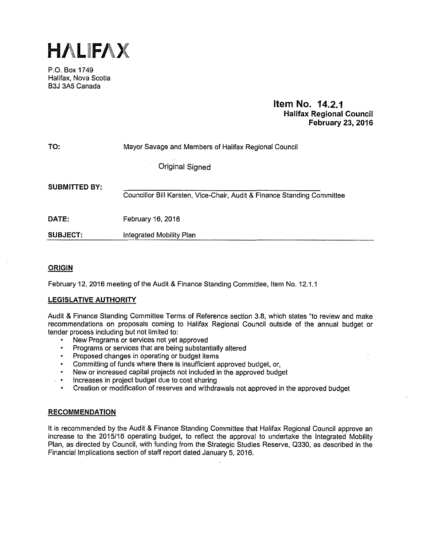

P.O. Box 1749 Halifax, Nova Scotia B3J 3A5 Canada

# **Item No. 14.2.1 Halifax Regional Council February** 23, **2016**

| TO:                  | Mayor Savage and Members of Halifax Regional Council                    |  |  |  |  |
|----------------------|-------------------------------------------------------------------------|--|--|--|--|
|                      | <b>Original Signed</b>                                                  |  |  |  |  |
| <b>SUBMITTED BY:</b> | Councillor Bill Karsten, Vice-Chair, Audit & Finance Standing Committee |  |  |  |  |
| DATE:                | February 16, 2016                                                       |  |  |  |  |
| SUBJECT.             | Integrated Mobility Plan                                                |  |  |  |  |

# **ORIGIN**

February 12, 2016 meeting of the Audit & Finance Standing Committee, Item No. 12.1.1

## **LEGISLATIVE AUTHORITY**

Audit & Finance Standing Committee Terms of Reference section 3.8, which states "to review and make recommendations on proposals coming to Halifax Regional Council outside of the annual budget or tender process including but not limited to:

- New Programs or services not yet approved
- Programs or services that are being substantially altered
- Proposed changes in operating or budget items
- Committing of funds where there is insufficient approved budget, or,
- New or increased capital projects not included in the approved budget
- Increases in project budget due to cost sharing
- Creation or modification of reserves and withdrawals not approved in the approved budget

### **RECOMMENDATION**

It is recommended by the Audit & Finance Standing Committee that Halifax Regional Council approve an increase to the 2015/16 operating budget, to reflect the approval to undertake the Integrated Mobility Plan, as directed by Council, with funding from the Strategic Studies Reserve, 0330, as described in the Financial Implications section of staff report dated January 5, 2016.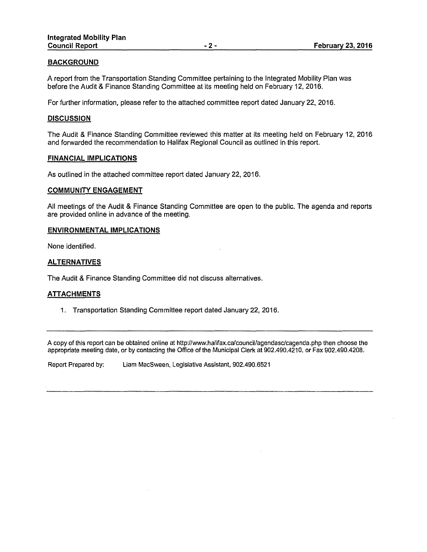## **BACKGROUND**

A report from the Transportation Standing Committee pertaining to the Integrated Mobility Plan was before the Audit & Finance Standing Committee at its meeting held on February 12, 2016.

For further information, please refer to the attached committee report dated January 22, 2016.

### **DISCUSSION**

The Audit & Finance Standing Committee reviewed this matter at its meeting held on February 12, 2016 and forwarded the recommendation to Halifax Regional Council as outlined in this report.

#### **FINANCIAL IMPLICATIONS**

As outlined in the attached committee report dated January 22, 2016.

#### **COMMUNITY ENGAGEMENT**

All meetings of the Audit & Finance Standing Committee are open to the public. The agenda and reports are provided online in advance of the meeting.

#### **ENVIRONMENTAL IMPLICATIONS**

None identified.

#### **ALTERNATIVES**

The Audit & Finance Standing Committee did not discuss alternatives.

### **ATTACHMENTS**

1. Transportation Standing Committee report dated January 22, 2016.

A copy of this report can be obtained online at http://www.halifax.ca/council/agendasc/cagenda.php then choose the appropriate meeting date, or by contacting the Office of the Municipal Clerk at 902.490.4210, or Fax 902.490.4208.

Report Prepared by: Liam MacSween, Legislative Assistant, 902.490.6521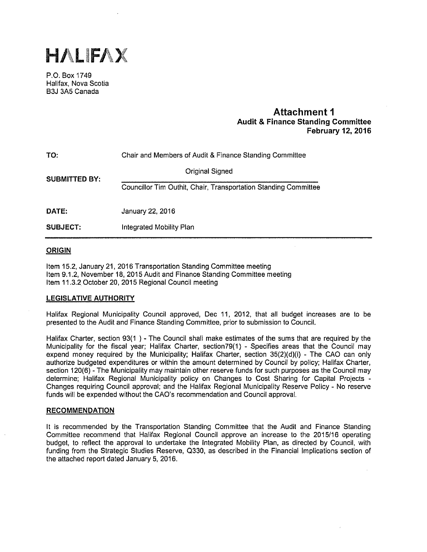

P.O. Box 1749 Halifax, Nova Scotia B3J 3A5 Canada

# **Attachment 1 Audit & Finance Standing Committee February 12, 2016**

| TO:                  | Chair and Members of Audit & Finance Standing Committee         |  |  |  |
|----------------------|-----------------------------------------------------------------|--|--|--|
| <b>SUBMITTED BY:</b> | <b>Original Signed</b>                                          |  |  |  |
|                      | Councillor Tim Outhit, Chair, Transportation Standing Committee |  |  |  |
| DATE:                | January 22, 2016                                                |  |  |  |
| <b>SUBJECT:</b>      | Integrated Mobility Plan                                        |  |  |  |

### **ORIGIN**

Item 15.2, January 21, 2016 Transportation Standing Committee meeting Item 9.1.2, November 18, 2015 Audit and Finance Standing Committee meeting Item 11.3.2 October 20, 2015 Regional Council meeting

### **LEGISLATIVE AUTHORITY**

Halifax Regional Municipality Council approved, Dec 11, 2012, that all budget increases are to be presented to the Audit and Finance Standing Committee, prior to submission to Council.

Halifax Charter, section 93(1 ) - The Council shall make estimates of the sums that are required by the Municipality for the fiscal year; Halifax Charter, section79(1) - Specifies areas that the Council may expend money required by the Municipality; Halifax Charter, section 35(2)(d)(i) - The CAO can only authorize budgeted expenditures or within the amount determined by Council by policy; Halifax Charter, section 120(6) - The Municipality may maintain other reserve funds for such purposes as the Council may determine; Halifax Regional Municipality policy on Changes to Cost Sharing for Capital Projects - Changes requiring Council approval; and the Halifax Regional Municipality Reserve Policy - No reserve funds will be expended without the CAO's recommendation and Council approval.

### **RECOMMENDATION**

It is recommended by the Transportation Standing Committee that the Audit and Finance Standing Committee recommend that Halifax Regional Council approve an increase to the 2015/16 operating budget, to refiect the approval to undertake the Integrated Mobility Plan, as directed by Council, with funding from the Strategic Studies Reserve, 0330, as described in the Financial Implications section of the attached report dated January 5, 2016.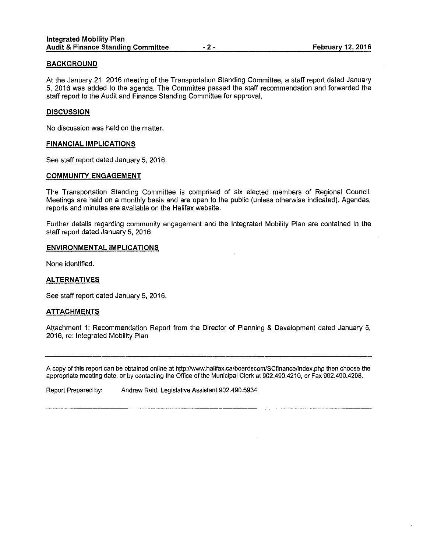## **BACKGROUND**

At the January 21, 2016 meeting of the Transportation Standing Committee, a staff report dated January 5, 2016 was added to the agenda. The Committee passed the staff recommendation and forwarded the staff report to the Audit and Finance Standing Committee for approval.

### **DISCUSSION**

No discussion was held on the matter.

#### **FINANCIAL IMPLICATIONS**

See staff report dated January 5, 2016.

#### **COMMUNITY ENGAGEMENT**

The Transportation Standing Committee is comprised of six elected members of Regional Council. Meetings are held on a monthly basis and are open to the public (unless otherwise indicated). Agendas, reports and minutes are available on the Halifax website.

Further details regarding community engagement and the Integrated Mobility Plan are contained in the staff report dated January 5, 2016.

#### **ENVIRONMENTAL IMPLICATIONS**

None identified.

### **ALTERNATIVES**

See staff report dated January 5, 2016.

### **ATTACHMENTS**

Attachment 1: Recommendation Report from the Director of Planning & Development dated January 5, 2016, re: Integrated Mobility Plan

A copy of this report can be obtained online at http://www.halifax.ca/boardscom/SCfinance/index.php then choose the appropriate meeting date, or by contacting the Office of the Municipal Clerk at 902.490.4210, or Fax 902.490.4208.

Report Prepared by: Andrew Reid, Legislative Assistant 902.490.5934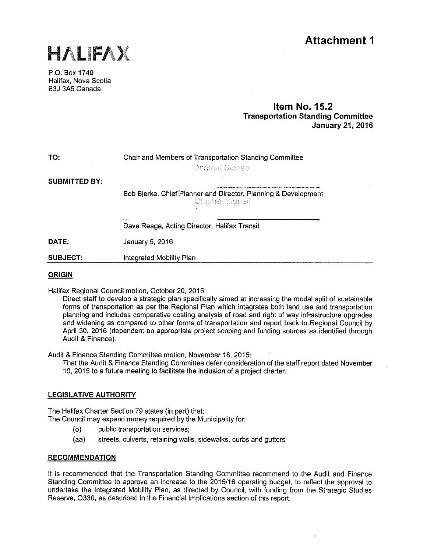



P.O. Box 1749 Halifax, Nova Scotia B3J 3A5 Canada

# **Item No. 15.2 Transportation Standing Committee January 21, 2016**

| TO:                  | Chair and Members of Transportation Standing Committee<br><b>Original Signed</b>  |  |  |
|----------------------|-----------------------------------------------------------------------------------|--|--|
| <b>SUBMITTED BY:</b> |                                                                                   |  |  |
|                      | Bob Bjerke, Chief Planner and Director, Planning & Development<br>Original Signed |  |  |
|                      | $\sim 10^{-10}$<br>Dave Reage, Acting Director, Halifax Transit                   |  |  |
| DATE:                | January 5, 2016                                                                   |  |  |
| <b>SUBJECT:</b>      | Integrated Mobility Plan                                                          |  |  |
|                      |                                                                                   |  |  |

## **ORIGIN**

Halifax Regional Council motion, October 20, 2015:

Direct staff to develop a strategic plan specifically aimed at increasing the modal split of sustainable forms of transportation as per the Regional Plan which integrates both land use and transportation planning and includes comparative costing analysis of road and right of way infrastructure upgrades and widening as compared to other forms of transportation and report back to Regional Council by April 30, 2016 (dependent on appropriate project scoping and funding sources as identified through Audit & Finance).

Audit & Finance Standing Committee motion, November 18, 2015:

That the Audit & Finance Standing Committee defer consideration of the staff report dated November 10, 2015 to a future meeting to facilitate the inclusion of a project charter.

# **LEGISLATIVE AUTHORITY**

The Halifax Charter Section 79 states (in part) that: The Council may expend money required by the Municipality for:

- (o) public transportation services;
- (aa) streets, culverts, retaining walls, sidewalks, curbs and gutters

### **RECOMMENDATION**

It is recommended that the Transportation Standing Committee recommend to the Audit and Finance Standing Committee to approve an increase to the 2015/16 operating budget, to refiect the approval to undertake the Integrated Mobility Plan, as directed by Council, with funding from the Strategic Studies Reserve, 0330, as described in the Financial Implications section of this report.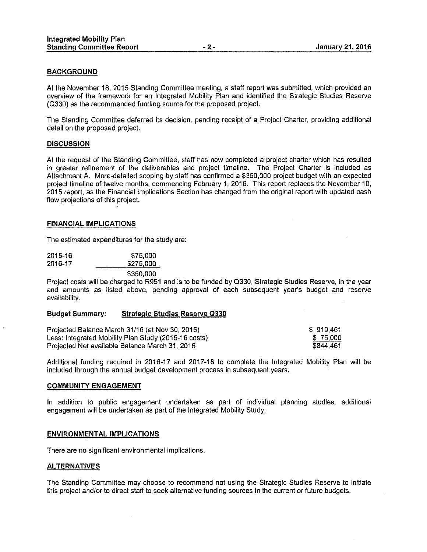### **BACKGROUND**

At the November 18, 2015 Standing Committee meeting, a staff report was submitted, which provided an overview of the framework for an Integrated Mobility Plan and identified the Strategic Studies Reserve (0330) as the recommended funding source for the proposed project.

The Standing Committee deferred its decision, pending receipt of a Project Charter, providing additional detail on the proposed project.

#### **DISCUSSION**

At the request of the Standing Committee, staff has now completed a project charter which has resulted in greater refinement of the deliverables and project timeline. The Project Charter is included as Attachment A. More-detailed scoping by staff has confirmed a \$350,000 project budget with an expected project timeline of twelve months, commencing February 1, 2016. This report replaces the November 10, 2015 report, as the Financial Implications Section has changed from the original report with updated cash flow projections of this project.

#### **FINANCIAL IMPLICATIONS**

The estimated expenditures for the study are:

| 2015-16 | \$75,000  |
|---------|-----------|
| 2016-17 | \$275,000 |
|         | \$350,000 |

Project costs will be charged to R951 and is to be funded by 0330, Strategic Studies Reserve, in the year and amounts as listed above, pending approval of each subsequent year's budget and reserve availability.

#### **Budget Summary: Strategic Studies Reserve Q330**

| Projected Balance March 31/16 (at Nov 30, 2015)      | \$919.461 |
|------------------------------------------------------|-----------|
| Less: Integrated Mobility Plan Study (2015-16 costs) | \$75,000  |
| Projected Net available Balance March 31, 2016       | \$844.461 |

Additional funding required in 2016-17 and 2017-18 to complete the Integrated Mobility Plan will be included through the annual budget development process in subsequent years.

#### **COMMUNITY ENGAGEMENT**

In addition to public engagement undertaken as part of individual planning studies, additional engagement will be undertaken as part of the Integrated Mobility Study.

#### **ENVIRONMENTAL IMPLICATIONS**

There are no significant environmental implications.

### **ALTERNATIVES**

The Standing Committee may choose to recommend not using the Strategic Studies Reserve to initiate this project and/or to direct staff to seek alternative funding sources in the current or future budgets.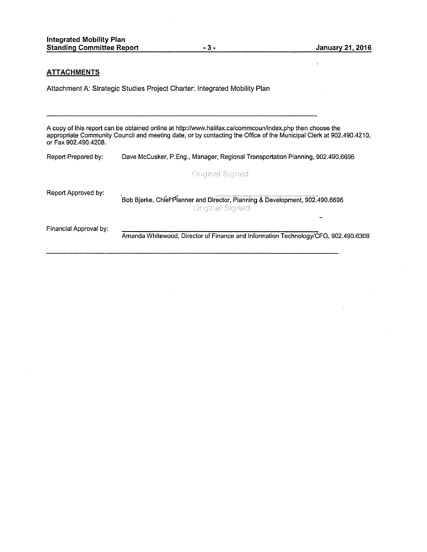#### **ATTACHMENTS**

Attachment A: Strategic Studies Project Charter: Integrated Mobility Plan

A copy of this report can be obtained online at http://www.halifax.ca/commcoun/index.php then choose the appropriate Community Council and meeting date, or by contacting the Office of the Municipal Clerk at 902.490.4210. or Fax 902.490.4208.

Report Prepared by: Dave Mccusker, P.Eng., Manager, Regional Transportation Planning, 902.490.6696 **Original Signed** Report Approved by: Bob Bjerke, Chief<sup>-</sup>Planner and Director, Planning & Development, 902.490.6696<br>Original Signed Financial Approval by: Amanda Whitewood, Director of Finance and Information Technology/CFO, 902.490.6308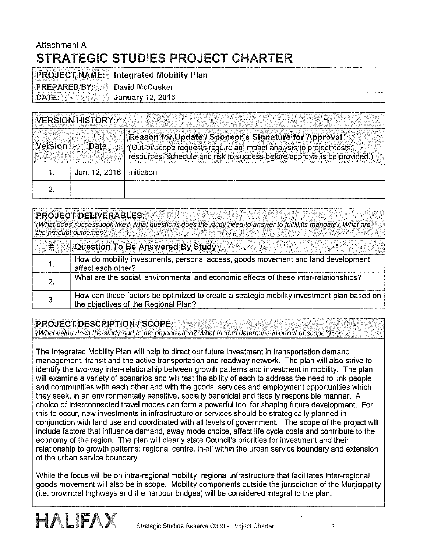# Attachment A STRATEGIC STUDIES PROJECT CHARTER

|                     | <b>PROJECT NAME:</b> Integrated Mobility Plan |
|---------------------|-----------------------------------------------|
| <b>PREPARED BY:</b> | <b>David McCusker</b>                         |
| DATE:               | <b>Ganuary 12, 2016</b>                       |

| <b>VERSION HISTORY:</b>                                                        |               |                                                                                                                                                 |  |
|--------------------------------------------------------------------------------|---------------|-------------------------------------------------------------------------------------------------------------------------------------------------|--|
| Reason for Update / Sponsor's Signature for Approval<br><b>Version</b><br>Date |               | (Out-of-scope requests require an impact analysis to project costs,<br>resources, schedule and risk to success before approval is be provided.) |  |
|                                                                                | Jan. 12, 2016 | Initiation                                                                                                                                      |  |
|                                                                                |               |                                                                                                                                                 |  |

|    | <b>PROJECT DELIVERABLES:</b><br>(What does success look like? What questions does the study need to answer to fulfill its mandate? What are<br>the product outcomes?) |  |
|----|-----------------------------------------------------------------------------------------------------------------------------------------------------------------------|--|
| #  | <b>Question To Be Answered By Study</b>                                                                                                                               |  |
|    | How do mobility investments, personal access, goods movement and land development<br>affect each other?                                                               |  |
| 2. | What are the social, environmental and economic effects of these inter-relationships?                                                                                 |  |
| З. | How can these factors be optimized to create a strategic mobility investment plan based on<br>the objectives of the Regional Plan?                                    |  |

# PROJECT DESCRIPTION I SCOPE:

(What value does the study add to the organization? What factors determine in or out of scope?)

The Integrated Mobility Plan will help to direct our future investment in transportation demand management, transit and the active transportation and roadway network. The plan will also strive to identify the two-way inter-relationship between growth patterns and investment in mobility. The plan will examine a variety of scenarios and will test the ability of each to address the need to link people and communities with each other and with the goods, services and employment opportunities which they seek, in an environmentally sensitive, socially beneficial and fiscally responsible manner. A choice of interconnected travel modes can form a powerful tool for shaping future development. For this to occur, new investments in infrastructure or services should be strategically planned in conjunction with land use and coordinated with all levels of government. The scope of the project will include factors that influence demand, sway mode choice, affect life cycle costs and contribute to the economy of the region. The plan will clearly state Council's priorities for investment and their relationship to growth patterns: regional centre, in-fill within the urban service boundary and extension of the urban service boundary.

While the focus will be on intra-regional mobility, regional infrastructure that facilitates inter-regional goods movement will also be in scope. Mobility components outside the jurisdiction of the Municipality (i.e. provincial highways and the harbour bridges) will be considered integral to the plan.

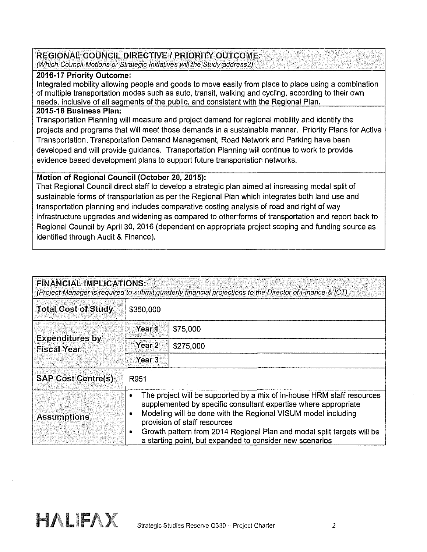# REGIONAL COUNCIL DIRECTIVE I PRIORITY OUTCOME:

(Which Council Motions or Strategic Initiatives will the Study address?)

# 2016-17 Priority Outcome:

Integrated mobility allowing people and goods to move easily from place to place using a combination of multiple transportation modes such as auto, transit, walking and cycling, according to their own needs, inclusive of all seaments of the public, and consistent with the Reaional Plan.

# 2015-16 Business Plan:

Transportation Planning will measure and project demand for regional mobility and identify the projects and programs that will meet those demands in a sustainable manner. Priority Plans for Active Transportation, Transportation Demand Management, Road Network and Parking have been developed and will provide guidance. Transportation Planning will continue to work to provide evidence based development plans to support future transportation networks.

# Motion of Regional Council (October 20, 2015):

That Regional Council direct staff to develop a strategic plan aimed at increasing modal split of sustainable forms of transportation as per the Regional Plan which integrates both land use and transportation planning and includes comparative costing analysis of road and right of way infrastructure upgrades and widening as compared to other·forms of transportation and report back to Regional Council by April 30, 2016 (dependant on appropriate project scoping and funding source as identified through Audit & Finance).

| <b>FINANCIAL IMPLICATIONS:</b><br>(Project Manager is required to submit quarterly financial projections to the Director of Finance & ICT) |                                                                                                                                                                                                                                                                                                                                                                                                                 |           |  |  |
|--------------------------------------------------------------------------------------------------------------------------------------------|-----------------------------------------------------------------------------------------------------------------------------------------------------------------------------------------------------------------------------------------------------------------------------------------------------------------------------------------------------------------------------------------------------------------|-----------|--|--|
| <b>Total Cost of Study</b>                                                                                                                 | \$350,000                                                                                                                                                                                                                                                                                                                                                                                                       |           |  |  |
|                                                                                                                                            | Year 1                                                                                                                                                                                                                                                                                                                                                                                                          | \$75,000  |  |  |
| <b>Expenditures by</b><br><b>Fiscal Year</b>                                                                                               | Year <sub>2</sub>                                                                                                                                                                                                                                                                                                                                                                                               | \$275,000 |  |  |
|                                                                                                                                            | Year <sub>3</sub>                                                                                                                                                                                                                                                                                                                                                                                               |           |  |  |
| <b>SAP Cost Centre(s)</b>                                                                                                                  | R951                                                                                                                                                                                                                                                                                                                                                                                                            |           |  |  |
| <b>Assumptions</b>                                                                                                                         | The project will be supported by a mix of in-house HRM staff resources<br>$\bullet$<br>supplemented by specific consultant expertise where appropriate<br>Modeling will be done with the Regional VISUM model including<br>¢<br>provision of staff resources<br>Growth pattern from 2014 Regional Plan and modal split targets will be<br>$\bullet$<br>a starting point, but expanded to consider new scenarios |           |  |  |

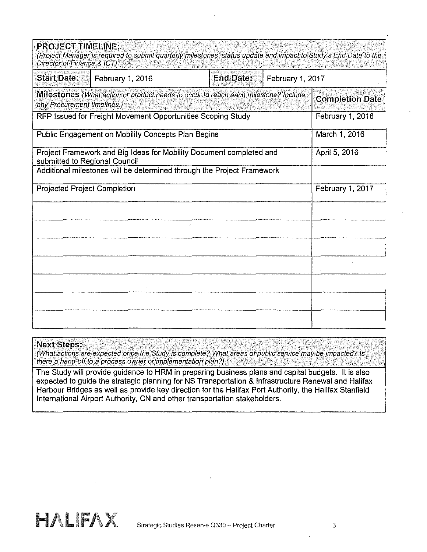| <b>PROJECT TIMELINE:</b><br>Director of Finance & ICT) | (Project Manager is required to submit quarterly milestones' status update and impact to Study's End Date to the                                                               |  |  |                        |  |
|--------------------------------------------------------|--------------------------------------------------------------------------------------------------------------------------------------------------------------------------------|--|--|------------------------|--|
| <b>Start Date:</b>                                     | <b>End Date:</b><br>February 1, 2017<br>February 1, 2016                                                                                                                       |  |  |                        |  |
| any Procurement timelines.)                            | <b>Milestones</b> (What action or product needs to occur to reach each milestone? Include                                                                                      |  |  | <b>Completion Date</b> |  |
|                                                        | RFP Issued for Freight Movement Opportunities Scoping Study                                                                                                                    |  |  | February 1, 2016       |  |
|                                                        | Public Engagement on Mobility Concepts Plan Begins                                                                                                                             |  |  | March 1, 2016          |  |
|                                                        | Project Framework and Big Ideas for Mobility Document completed and<br>submitted to Regional Council<br>Additional milestones will be determined through the Project Framework |  |  |                        |  |
|                                                        |                                                                                                                                                                                |  |  |                        |  |
| <b>Projected Project Completion</b>                    |                                                                                                                                                                                |  |  | February 1, 2017       |  |
|                                                        |                                                                                                                                                                                |  |  |                        |  |
|                                                        |                                                                                                                                                                                |  |  |                        |  |
|                                                        |                                                                                                                                                                                |  |  |                        |  |
|                                                        |                                                                                                                                                                                |  |  |                        |  |
|                                                        |                                                                                                                                                                                |  |  |                        |  |
|                                                        |                                                                                                                                                                                |  |  |                        |  |
|                                                        |                                                                                                                                                                                |  |  |                        |  |

# Next Steps:

(What actions are expected once the Study is complete? What areas of public service may be impacted? Is there a hand-off to a process owner or implementation plan?)

The Study will provide guidance to HRM in preparing business plans and capital budgets. It is also expected to guide the strategic planning for NS Transportation & Infrastructure Renewal and Halifax Harbour Bridges as well as provide key direction for the Halifax Port Authority, the Halifax Stanfield International Airport Authority, CN and other transportation stakeholders.